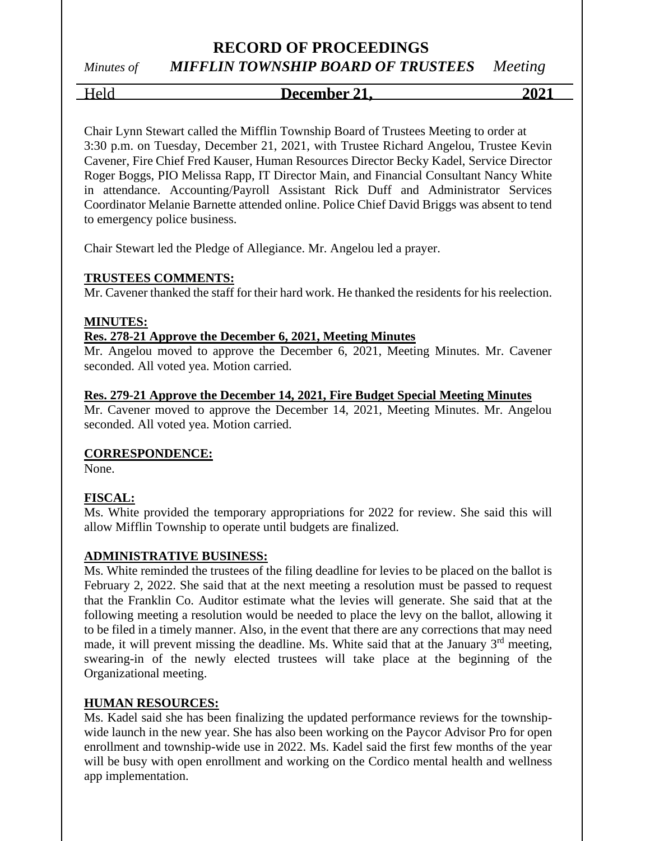*Minutes of MIFFLIN TOWNSHIP BOARD OF TRUSTEES Meeting*

# Held **December 21, 2021**

Chair Lynn Stewart called the Mifflin Township Board of Trustees Meeting to order at 3:30 p.m. on Tuesday, December 21, 2021, with Trustee Richard Angelou, Trustee Kevin Cavener, Fire Chief Fred Kauser, Human Resources Director Becky Kadel, Service Director Roger Boggs, PIO Melissa Rapp, IT Director Main, and Financial Consultant Nancy White in attendance. Accounting/Payroll Assistant Rick Duff and Administrator Services Coordinator Melanie Barnette attended online. Police Chief David Briggs was absent to tend to emergency police business.

Chair Stewart led the Pledge of Allegiance. Mr. Angelou led a prayer.

### **TRUSTEES COMMENTS:**

Mr. Cavener thanked the staff for their hard work. He thanked the residents for his reelection.

### **MINUTES:**

### **Res. 278-21 Approve the December 6, 2021, Meeting Minutes**

Mr. Angelou moved to approve the December 6, 2021, Meeting Minutes. Mr. Cavener seconded. All voted yea. Motion carried.

#### **Res. 279-21 Approve the December 14, 2021, Fire Budget Special Meeting Minutes**

Mr. Cavener moved to approve the December 14, 2021, Meeting Minutes. Mr. Angelou seconded. All voted yea. Motion carried.

### **CORRESPONDENCE:**

None.

### **FISCAL:**

Ms. White provided the temporary appropriations for 2022 for review. She said this will allow Mifflin Township to operate until budgets are finalized.

### **ADMINISTRATIVE BUSINESS:**

Ms. White reminded the trustees of the filing deadline for levies to be placed on the ballot is February 2, 2022. She said that at the next meeting a resolution must be passed to request that the Franklin Co. Auditor estimate what the levies will generate. She said that at the following meeting a resolution would be needed to place the levy on the ballot, allowing it to be filed in a timely manner. Also, in the event that there are any corrections that may need made, it will prevent missing the deadline. Ms. White said that at the January 3<sup>rd</sup> meeting, swearing-in of the newly elected trustees will take place at the beginning of the Organizational meeting.

### **HUMAN RESOURCES:**

Ms. Kadel said she has been finalizing the updated performance reviews for the townshipwide launch in the new year. She has also been working on the Paycor Advisor Pro for open enrollment and township-wide use in 2022. Ms. Kadel said the first few months of the year will be busy with open enrollment and working on the Cordico mental health and wellness app implementation.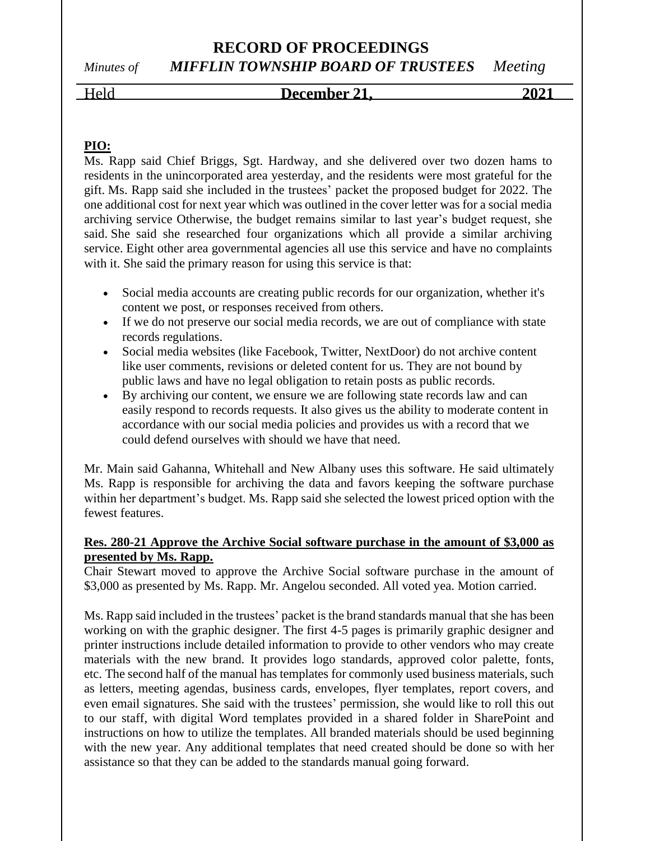*Minutes of MIFFLIN TOWNSHIP BOARD OF TRUSTEES Meeting*

# Held **December 21, 2021**

### **PIO:**

Ms. Rapp said Chief Briggs, Sgt. Hardway, and she delivered over two dozen hams to residents in the unincorporated area yesterday, and the residents were most grateful for the gift. Ms. Rapp said she included in the trustees' packet the proposed budget for 2022. The one additional cost for next year which was outlined in the cover letter was for a social media archiving service Otherwise, the budget remains similar to last year's budget request, she said. She said she researched four organizations which all provide a similar archiving service. Eight other area governmental agencies all use this service and have no complaints with it. She said the primary reason for using this service is that:

- Social media accounts are creating public records for our organization, whether it's content we post, or responses received from others.
- If we do not preserve our social media records, we are out of compliance with state records regulations.
- Social media websites (like Facebook, Twitter, NextDoor) do not archive content like user comments, revisions or deleted content for us. They are not bound by public laws and have no legal obligation to retain posts as public records.
- By archiving our content, we ensure we are following state records law and can easily respond to records requests. It also gives us the ability to moderate content in accordance with our social media policies and provides us with a record that we could defend ourselves with should we have that need.

Mr. Main said Gahanna, Whitehall and New Albany uses this software. He said ultimately Ms. Rapp is responsible for archiving the data and favors keeping the software purchase within her department's budget. Ms. Rapp said she selected the lowest priced option with the fewest features.

### **Res. 280-21 Approve the Archive Social software purchase in the amount of \$3,000 as presented by Ms. Rapp.**

Chair Stewart moved to approve the Archive Social software purchase in the amount of \$3,000 as presented by Ms. Rapp. Mr. Angelou seconded. All voted yea. Motion carried.

Ms. Rapp said included in the trustees' packet is the brand standards manual that she has been working on with the graphic designer. The first 4-5 pages is primarily graphic designer and printer instructions include detailed information to provide to other vendors who may create materials with the new brand. It provides logo standards, approved color palette, fonts, etc. The second half of the manual has templates for commonly used business materials, such as letters, meeting agendas, business cards, envelopes, flyer templates, report covers, and even email signatures. She said with the trustees' permission, she would like to roll this out to our staff, with digital Word templates provided in a shared folder in SharePoint and instructions on how to utilize the templates. All branded materials should be used beginning with the new year. Any additional templates that need created should be done so with her assistance so that they can be added to the standards manual going forward.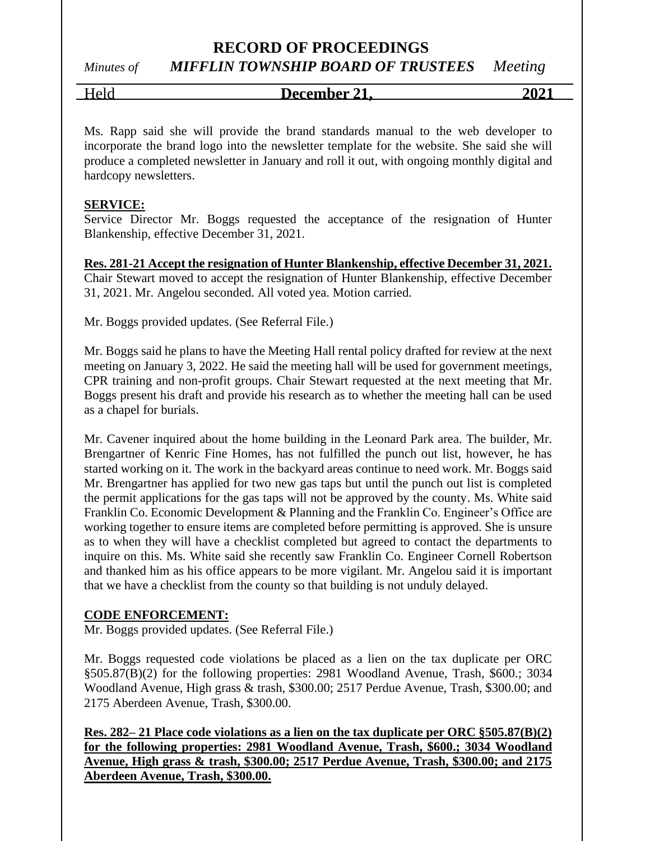# *Minutes of MIFFLIN TOWNSHIP BOARD OF TRUSTEES Meeting*

Held **December 21, 2021**

Ms. Rapp said she will provide the brand standards manual to the web developer to incorporate the brand logo into the newsletter template for the website. She said she will produce a completed newsletter in January and roll it out, with ongoing monthly digital and hardcopy newsletters.

### **SERVICE:**

Service Director Mr. Boggs requested the acceptance of the resignation of Hunter Blankenship, effective December 31, 2021.

**Res. 281-21 Accept the resignation of Hunter Blankenship, effective December 31, 2021.** Chair Stewart moved to accept the resignation of Hunter Blankenship, effective December 31, 2021. Mr. Angelou seconded. All voted yea. Motion carried.

Mr. Boggs provided updates. (See Referral File.)

Mr. Boggs said he plans to have the Meeting Hall rental policy drafted for review at the next meeting on January 3, 2022. He said the meeting hall will be used for government meetings, CPR training and non-profit groups. Chair Stewart requested at the next meeting that Mr. Boggs present his draft and provide his research as to whether the meeting hall can be used as a chapel for burials.

Mr. Cavener inquired about the home building in the Leonard Park area. The builder, Mr. Brengartner of Kenric Fine Homes, has not fulfilled the punch out list, however, he has started working on it. The work in the backyard areas continue to need work. Mr. Boggs said Mr. Brengartner has applied for two new gas taps but until the punch out list is completed the permit applications for the gas taps will not be approved by the county. Ms. White said Franklin Co. Economic Development & Planning and the Franklin Co. Engineer's Office are working together to ensure items are completed before permitting is approved. She is unsure as to when they will have a checklist completed but agreed to contact the departments to inquire on this. Ms. White said she recently saw Franklin Co. Engineer Cornell Robertson and thanked him as his office appears to be more vigilant. Mr. Angelou said it is important that we have a checklist from the county so that building is not unduly delayed.

### **CODE ENFORCEMENT:**

Mr. Boggs provided updates. (See Referral File.)

Mr. Boggs requested code violations be placed as a lien on the tax duplicate per ORC §505.87(B)(2) for the following properties: 2981 Woodland Avenue, Trash, \$600.; 3034 Woodland Avenue, High grass & trash, \$300.00; 2517 Perdue Avenue, Trash, \$300.00; and 2175 Aberdeen Avenue, Trash, \$300.00.

**Res. 282– 21 Place code violations as a lien on the tax duplicate per ORC §505.87(B)(2) for the following properties: 2981 Woodland Avenue, Trash, \$600.; 3034 Woodland Avenue, High grass & trash, \$300.00; 2517 Perdue Avenue, Trash, \$300.00; and 2175 Aberdeen Avenue, Trash, \$300.00.**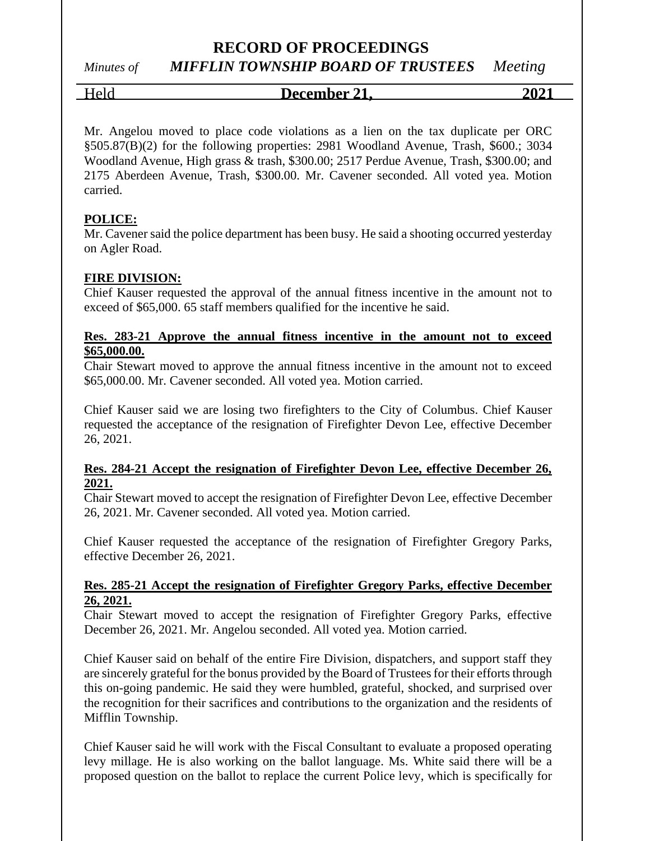### *Minutes of MIFFLIN TOWNSHIP BOARD OF TRUSTEES Meeting*

Held **December 21, 2021**

Mr. Angelou moved to place code violations as a lien on the tax duplicate per ORC §505.87(B)(2) for the following properties: 2981 Woodland Avenue, Trash, \$600.; 3034 Woodland Avenue, High grass & trash, \$300.00; 2517 Perdue Avenue, Trash, \$300.00; and 2175 Aberdeen Avenue, Trash, \$300.00. Mr. Cavener seconded. All voted yea. Motion carried.

### **POLICE:**

Mr. Cavener said the police department has been busy. He said a shooting occurred yesterday on Agler Road.

### **FIRE DIVISION:**

Chief Kauser requested the approval of the annual fitness incentive in the amount not to exceed of \$65,000. 65 staff members qualified for the incentive he said.

### **Res. 283-21 Approve the annual fitness incentive in the amount not to exceed \$65,000.00.**

Chair Stewart moved to approve the annual fitness incentive in the amount not to exceed \$65,000.00. Mr. Cavener seconded. All voted yea. Motion carried.

Chief Kauser said we are losing two firefighters to the City of Columbus. Chief Kauser requested the acceptance of the resignation of Firefighter Devon Lee, effective December 26, 2021.

### **Res. 284-21 Accept the resignation of Firefighter Devon Lee, effective December 26, 2021.**

Chair Stewart moved to accept the resignation of Firefighter Devon Lee, effective December 26, 2021. Mr. Cavener seconded. All voted yea. Motion carried.

Chief Kauser requested the acceptance of the resignation of Firefighter Gregory Parks, effective December 26, 2021.

#### **Res. 285-21 Accept the resignation of Firefighter Gregory Parks, effective December 26, 2021.**

Chair Stewart moved to accept the resignation of Firefighter Gregory Parks, effective December 26, 2021. Mr. Angelou seconded. All voted yea. Motion carried.

Chief Kauser said on behalf of the entire Fire Division, dispatchers, and support staff they are sincerely grateful for the bonus provided by the Board of Trustees for their efforts through this on-going pandemic. He said they were humbled, grateful, shocked, and surprised over the recognition for their sacrifices and contributions to the organization and the residents of Mifflin Township.

Chief Kauser said he will work with the Fiscal Consultant to evaluate a proposed operating levy millage. He is also working on the ballot language. Ms. White said there will be a proposed question on the ballot to replace the current Police levy, which is specifically for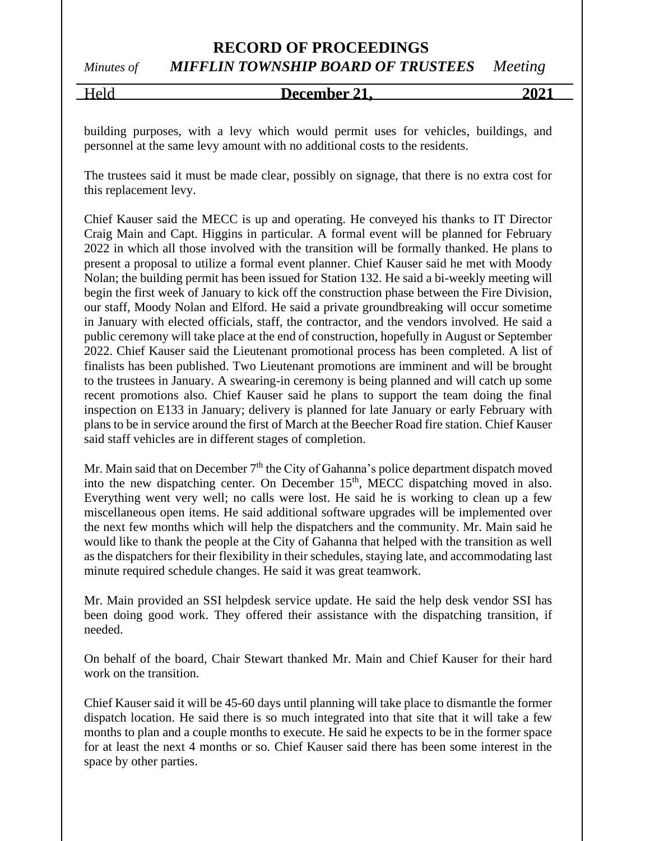## **RECORD OF PROCEEDINGS** *Minutes of MIFFLIN TOWNSHIP BOARD OF TRUSTEES Meeting*

Held **December 21, 2021**

building purposes, with a levy which would permit uses for vehicles, buildings, and personnel at the same levy amount with no additional costs to the residents.

The trustees said it must be made clear, possibly on signage, that there is no extra cost for this replacement levy.

Chief Kauser said the MECC is up and operating. He conveyed his thanks to IT Director Craig Main and Capt. Higgins in particular. A formal event will be planned for February 2022 in which all those involved with the transition will be formally thanked. He plans to present a proposal to utilize a formal event planner. Chief Kauser said he met with Moody Nolan; the building permit has been issued for Station 132. He said a bi-weekly meeting will begin the first week of January to kick off the construction phase between the Fire Division, our staff, Moody Nolan and Elford. He said a private groundbreaking will occur sometime in January with elected officials, staff, the contractor, and the vendors involved. He said a public ceremony will take place at the end of construction, hopefully in August or September 2022. Chief Kauser said the Lieutenant promotional process has been completed. A list of finalists has been published. Two Lieutenant promotions are imminent and will be brought to the trustees in January. A swearing-in ceremony is being planned and will catch up some recent promotions also. Chief Kauser said he plans to support the team doing the final inspection on E133 in January; delivery is planned for late January or early February with plans to be in service around the first of March at the Beecher Road fire station. Chief Kauser said staff vehicles are in different stages of completion.

Mr. Main said that on December  $7<sup>th</sup>$  the City of Gahanna's police department dispatch moved into the new dispatching center. On December 15<sup>th</sup>, MECC dispatching moved in also. Everything went very well; no calls were lost. He said he is working to clean up a few miscellaneous open items. He said additional software upgrades will be implemented over the next few months which will help the dispatchers and the community. Mr. Main said he would like to thank the people at the City of Gahanna that helped with the transition as well as the dispatchers for their flexibility in their schedules, staying late, and accommodating last minute required schedule changes. He said it was great teamwork.

Mr. Main provided an SSI helpdesk service update. He said the help desk vendor SSI has been doing good work. They offered their assistance with the dispatching transition, if needed.

On behalf of the board, Chair Stewart thanked Mr. Main and Chief Kauser for their hard work on the transition.

Chief Kauser said it will be 45-60 days until planning will take place to dismantle the former dispatch location. He said there is so much integrated into that site that it will take a few months to plan and a couple months to execute. He said he expects to be in the former space for at least the next 4 months or so. Chief Kauser said there has been some interest in the space by other parties.